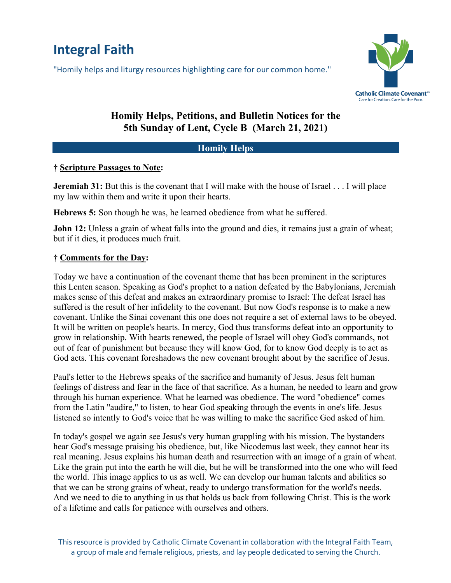# **Integral Faith**

"Homily helps and liturgy resources highlighting care for our common home."



# **Homily Helps, Petitions, and Bulletin Notices for the 5th Sunday of Lent, Cycle B (March 21, 2021)**

## **Homily Helps**

#### **† Scripture Passages to Note:**

**Jeremiah 31:** But this is the covenant that I will make with the house of Israel . . . I will place my law within them and write it upon their hearts.

**Hebrews 5:** Son though he was, he learned obedience from what he suffered.

**John 12:** Unless a grain of wheat falls into the ground and dies, it remains just a grain of wheat; but if it dies, it produces much fruit.

## **† Comments for the Day:**

Today we have a continuation of the covenant theme that has been prominent in the scriptures this Lenten season. Speaking as God's prophet to a nation defeated by the Babylonians, Jeremiah makes sense of this defeat and makes an extraordinary promise to Israel: The defeat Israel has suffered is the result of her infidelity to the covenant. But now God's response is to make a new covenant. Unlike the Sinai covenant this one does not require a set of external laws to be obeyed. It will be written on people's hearts. In mercy, God thus transforms defeat into an opportunity to grow in relationship. With hearts renewed, the people of Israel will obey God's commands, not out of fear of punishment but because they will know God, for to know God deeply is to act as God acts. This covenant foreshadows the new covenant brought about by the sacrifice of Jesus.

Paul's letter to the Hebrews speaks of the sacrifice and humanity of Jesus. Jesus felt human feelings of distress and fear in the face of that sacrifice. As a human, he needed to learn and grow through his human experience. What he learned was obedience. The word "obedience" comes from the Latin "audire," to listen, to hear God speaking through the events in one's life. Jesus listened so intently to God's voice that he was willing to make the sacrifice God asked of him.

In today's gospel we again see Jesus's very human grappling with his mission. The bystanders hear God's message praising his obedience, but, like Nicodemus last week, they cannot hear its real meaning. Jesus explains his human death and resurrection with an image of a grain of wheat. Like the grain put into the earth he will die, but he will be transformed into the one who will feed the world. This image applies to us as well. We can develop our human talents and abilities so that we can be strong grains of wheat, ready to undergo transformation for the world's needs. And we need to die to anything in us that holds us back from following Christ. This is the work of a lifetime and calls for patience with ourselves and others.